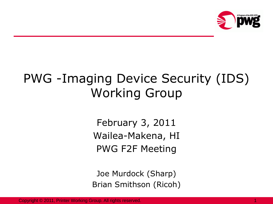

# PWG -Imaging Device Security (IDS) Working Group

February 3, 2011 Wailea-Makena, HI PWG F2F Meeting

Joe Murdock (Sharp) Brian Smithson (Ricoh)

Copyright © 2011, Printer Working Group. All rights reserved.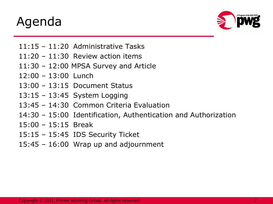# Agenda



- 11:15 11:20 Administrative Tasks
- 11:20 11:30 Review action items
- 11:30 12:00 MPSA Survey and Article
- 12:00 13:00 Lunch
- 13:00 13:15 Document Status
- 13:15 13:45 System Logging
- 13:45 14:30 Common Criteria Evaluation
- 14:30 15:00 Identification, Authentication and Authorization
- $15:00 15:15$  Break
- 15:15 15:45 IDS Security Ticket
- 15:45 16:00 Wrap up and adjournment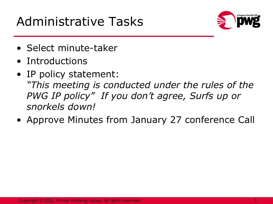# Administrative Tasks



- Select minute-taker
- Introductions
- IP policy statement: *"This meeting is conducted under the rules of the PWG IP policy" If you don't agree, Surfs up or snorkels down!*
- Approve Minutes from January 27 conference Call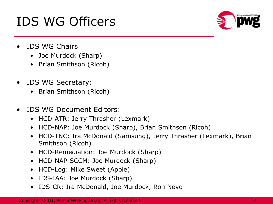# IDS WG Officers



- IDS WG Chairs
	- Joe Murdock (Sharp)
	- Brian Smithson (Ricoh)
- IDS WG Secretary:
	- Brian Smithson (Ricoh)
- IDS WG Document Editors:
	- HCD-ATR: Jerry Thrasher (Lexmark)
	- HCD-NAP: Joe Murdock (Sharp), Brian Smithson (Ricoh)
	- HCD-TNC: Ira McDonald (Samsung), Jerry Thrasher (Lexmark), Brian Smithson (Ricoh)
	- HCD-Remediation: Joe Murdock (Sharp)
	- HCD-NAP-SCCM: Joe Murdock (Sharp)
	- HCD-Log: Mike Sweet (Apple)
	- IDS-IAA: Joe Murdock (Sharp)
	- IDS-CR: Ira McDonald, Joe Murdock, Ron Nevo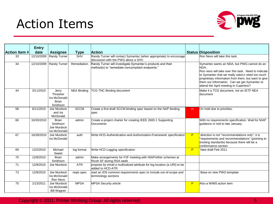# Action Items



|               | <b>Entry</b> |                                                               |                    |                                                                                                                 |    |                                                                                                                                                                                                                                                                                                                |
|---------------|--------------|---------------------------------------------------------------|--------------------|-----------------------------------------------------------------------------------------------------------------|----|----------------------------------------------------------------------------------------------------------------------------------------------------------------------------------------------------------------------------------------------------------------------------------------------------------------|
| Action Item # | date         | <b>Assignee</b>                                               | <b>Type</b>        | <b>Action</b>                                                                                                   |    | <b>Status Disposition</b>                                                                                                                                                                                                                                                                                      |
| 33            | 12/10/2009   | Randy Turner                                                  | <b>SHV</b>         | Randy Turner will contact Symantec (when appropriate) to encourage<br>ldiscussion with the PWG about a SHV.     |    | Ron Nevo will take this task.                                                                                                                                                                                                                                                                                  |
| 34            | 12/10/2009   | <b>Randy Turner</b>                                           | Remediation        | Randy Turner will investigate Symantec's products and their<br>method(s) to "remediate noncompliant endpoints." |    | Symantec wants an NDA, but PWG cannot do an<br>NDA<br>Ron nevo will take over this task. Need to indicate<br>to Symantec that we really wdon; t need too much<br>proprietary information from them, but want to give<br>them our information. Can we get Symantec to<br>attend the April meeting in Cupertino? |
| 44            | 3/11/2010    | Jerry<br>Thrasher<br>Ira McDonald<br><b>Brian</b><br>Smithson | <b>NEA Binding</b> | TCG TNC Binding document                                                                                        |    | Make it a TCG document, not an IETF NEA<br>ldocument                                                                                                                                                                                                                                                           |
| 58            | 6/11/2010    | Joe Murdock<br>and Ira<br>McDonald                            | <b>SCCM</b>        | Create a first draft SCCM binding spec based on the NAP binding<br>spec                                         | н. | On hold due to priorities.                                                                                                                                                                                                                                                                                     |
| 66            | 10/20/2010   | <b>Brian</b><br>Smithson<br>Joe Murdock<br>Ira McDonald       | admin              | Create a project charter for creating IEEE 2600.1 Supporting<br><b>Documents</b>                                |    | With no requirements specification. Wait for NIAP<br>guidance in mid to late January.                                                                                                                                                                                                                          |
| 67            | 10/28/2010   | Joe Murdock<br>Ira McDonald                                   | auth               | Write HCD-Authentication-and-Authorization-Framework specification                                              | P  | direction is not "recommendations only", it is<br>"requirements and recommendations" (pointing to<br>existing standards) because there will be a<br>conformance section                                                                                                                                        |
| 69            | 12/2/2010    | Michael<br>Sweet                                              | log format         | Write HCD Logging specification                                                                                 | P  | New draft Feb 2011                                                                                                                                                                                                                                                                                             |
| 70            | 12/9/2010    | <b>Brian</b><br>Smithson                                      | admin              | Make arrangements for F2F meeting with NIAP/other schemes at<br>Ricoh SF during RSA week                        |    |                                                                                                                                                                                                                                                                                                                |
| 71            | 12/9/2010    | Joe Murdock                                                   | <b>ATR</b>         | propose by email a multivalued attribute for log location (a URI) to be<br>added to HCD-ATR                     |    |                                                                                                                                                                                                                                                                                                                |
| 73            | 12/9/2010    | Joe Murdock<br>Ira McDonald<br>Ron Nevo                       | regts spec         | start an IDS common requirements spec to include out-of-scope and<br>terminology sections                       |    | Base on new PWG template                                                                                                                                                                                                                                                                                       |
| 75            | 1/13/2011    | Joe Murdock<br>Ira McDonald<br><b>Bill Wagner</b>             | <b>MPSA</b>        | <b>MPSA Security article</b>                                                                                    | P  | Also a WIMS action item                                                                                                                                                                                                                                                                                        |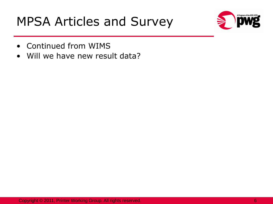# MPSA Articles and Survey



- Continued from WIMS
- Will we have new result data?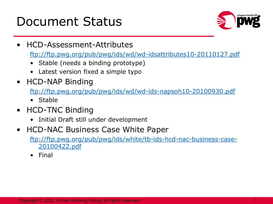### Document Status



• HCD-Assessment-Attributes

<ftp://ftp.pwg.org/pub/pwg/ids/wd/wd-idsattributes10-20110127.pdf>

- Stable (needs a binding prototype)
- Latest version fixed a simple typo
- HCD-NAP Binding

<ftp://ftp.pwg.org/pub/pwg/ids/wd/wd-ids-napsoh10-20100930.pdf>

- Stable
- HCD-TNC Binding
	- Initial Draft still under development
- HCD-NAC Business Case White Paper

[ftp://ftp.pwg.org/pub/pwg/ids/white/tb-ids-hcd-nac-business-case-](ftp://ftp.pwg.org/pub/pwg/ids/white/tb-ids-hcd-nac-business-case-20100422.pdf)[20100422.pdf](ftp://ftp.pwg.org/pub/pwg/ids/white/tb-ids-hcd-nac-business-case-20100422.pdf)

• Final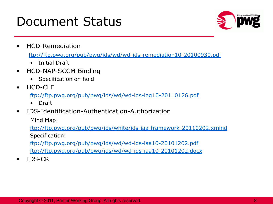### Document Status



• HCD-Remediation

<ftp://ftp.pwg.org/pub/pwg/ids/wd/wd-ids-remediation10-20100930.pdf>

- Initial Draft
- HCD-NAP-SCCM Binding
	- Specification on hold
- HCD-CLF

<ftp://ftp.pwg.org/pub/pwg/ids/wd/wd-ids-log10-20110126.pdf>

- Draft
- IDS-Identification-Authentication-Authorization

Mind Map:

<ftp://ftp.pwg.org/pub/pwg/ids/white/ids-iaa-framework-20110202.xmind> Specification:

[ftp://ftp.pwg.org/pub/pwg/ids/wd/wd-ids-iaa10-20101202.pdf](ftp://ftp.pwg.org/pub/pwg/ids/wd/wd-ids-iaa10-2010-1202.pdf) <ftp://ftp.pwg.org/pub/pwg/ids/wd/wd-ids-iaa10-20101202.docx>

• IDS-CR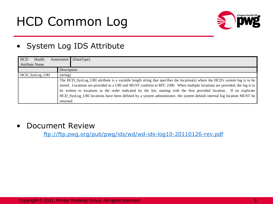# HCD Common Log



#### • System Log IDS Attribute

| <b>HCD</b><br>Health  | Assessment        | (DataType)                                                                                                                  |  |  |  |  |
|-----------------------|-------------------|-----------------------------------------------------------------------------------------------------------------------------|--|--|--|--|
| <b>Attribute Name</b> |                   |                                                                                                                             |  |  |  |  |
|                       | Description       |                                                                                                                             |  |  |  |  |
| HCD_SysLog_URI        | $(\text{string})$ |                                                                                                                             |  |  |  |  |
|                       |                   | The HCD_SysLog_URI attribute is a variable length string that specifies the location(s) where the HCD's system log is to be |  |  |  |  |
|                       |                   | stored. Locations are provided as a URI and MUST conform to RFC 2396. When multiple locations are provided, the log is to   |  |  |  |  |
|                       |                   | be written to locations in the order indicated by the list, starting with the first provided location. If no explicate      |  |  |  |  |
|                       |                   | HCD_SysLog_URI locations have been defined by a system administrator, the system default internal log location MUST be      |  |  |  |  |
|                       | returned.         |                                                                                                                             |  |  |  |  |

#### • Document Review

<ftp://ftp.pwg.org/pub/pwg/ids/wd/wd-ids-log10-20110126-rev.pdf>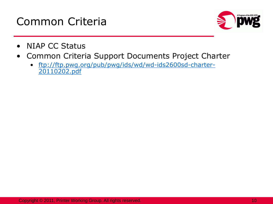



- NIAP CC Status
- Common Criteria Support Documents Project Charter
	- [ftp://ftp.pwg.org/pub/pwg/ids/wd/wd-ids2600sd-charter-](ftp://ftp.pwg.org/pub/pwg/ids/wd/wd-ids2600sd-charter-20110202.pdf)[20110202.pdf](ftp://ftp.pwg.org/pub/pwg/ids/wd/wd-ids2600sd-charter-20110202.pdf)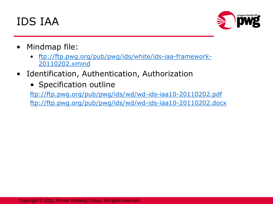### IDS IAA



- Mindmap file:
	- [ftp://ftp.pwg.org/pub/pwg/ids/white/ids-iaa-framework-](ftp://ftp.pwg.org/pub/pwg/ids/white/ids-iaa-framework-20110202.xmind)[20110202.xmind](ftp://ftp.pwg.org/pub/pwg/ids/white/ids-iaa-framework-20110202.xmind)
- Identification, Authentication, Authorization
	- Specification outline

<ftp://ftp.pwg.org/pub/pwg/ids/wd/wd-ids-iaa10-20110202.pdf> <ftp://ftp.pwg.org/pub/pwg/ids/wd/wd-ids-iaa10-20110202.docx>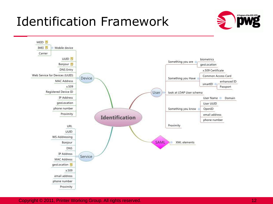## Identification Framework





Copyright © 2011, Printer Working Group. All rights reserved. 12 All 12 All 12 All 12 All 12 All 12 All 12 All 12 All 12 All 12 All 12 All 12 All 12 All 12 All 12 All 12 All 12 All 12 All 12 All 12 All 12 All 12 All 12 All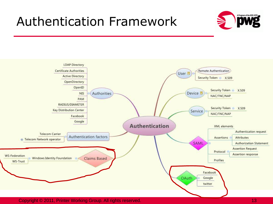### Authentication Framework





Copyright © 2011, Printer Working Group. All rights reserved. 13 April 13 April 13 April 13 April 13 April 13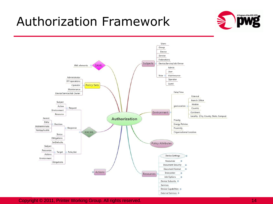### Authorization Framework





Copyright © 2011, Printer Working Group. All rights reserved. 14 All 14 All 14 All 14 All 14 All 14 All 14 All 14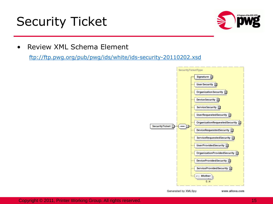# Security Ticket



• Review XML Schema Element

<ftp://ftp.pwg.org/pub/pwg/ids/white/ids-security-20110202.xsd>



Generated by XMLSpy

www.altova.com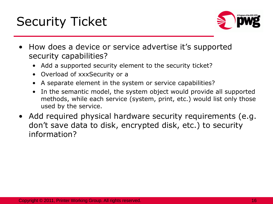# Security Ticket



- How does a device or service advertise it's supported security capabilities?
	- Add a supported security element to the security ticket?
	- Overload of xxxSecurity or a
	- A separate element in the system or service capabilities?
	- In the semantic model, the system object would provide all supported methods, while each service (system, print, etc.) would list only those used by the service.
- Add required physical hardware security requirements (e.g. don't save data to disk, encrypted disk, etc.) to security information?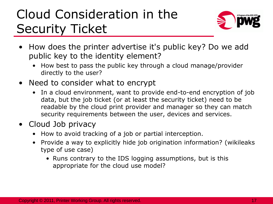# Cloud Consideration in the Security Ticket



- How does the printer advertise it's public key? Do we add public key to the identity element?
	- How best to pass the public key through a cloud manage/provider directly to the user?
- Need to consider what to encrypt
	- In a cloud environment, want to provide end-to-end encryption of job data, but the job ticket (or at least the security ticket) need to be readable by the cloud print provider and manager so they can match security requirements between the user, devices and services.
- Cloud Job privacy
	- How to avoid tracking of a job or partial interception.
	- Provide a way to explicitly hide job origination information? (wikileaks type of use case)
		- Runs contrary to the IDS logging assumptions, but is this appropriate for the cloud use model?